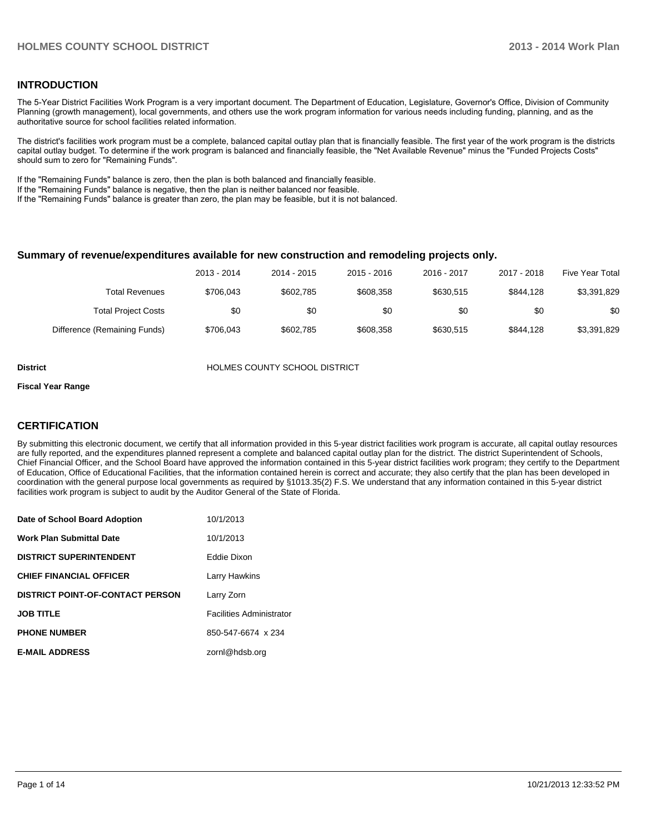#### **INTRODUCTION**

The 5-Year District Facilities Work Program is a very important document. The Department of Education, Legislature, Governor's Office, Division of Community Planning (growth management), local governments, and others use the work program information for various needs including funding, planning, and as the authoritative source for school facilities related information.

The district's facilities work program must be a complete, balanced capital outlay plan that is financially feasible. The first year of the work program is the districts capital outlay budget. To determine if the work program is balanced and financially feasible, the "Net Available Revenue" minus the "Funded Projects Costs" should sum to zero for "Remaining Funds".

If the "Remaining Funds" balance is zero, then the plan is both balanced and financially feasible.

If the "Remaining Funds" balance is negative, then the plan is neither balanced nor feasible.

If the "Remaining Funds" balance is greater than zero, the plan may be feasible, but it is not balanced.

#### **Summary of revenue/expenditures available for new construction and remodeling projects only.**

|                              | 2013 - 2014 | 2014 - 2015 | $2015 - 2016$ | 2016 - 2017 | 2017 - 2018 | Five Year Total |
|------------------------------|-------------|-------------|---------------|-------------|-------------|-----------------|
| <b>Total Revenues</b>        | \$706.043   | \$602.785   | \$608,358     | \$630.515   | \$844.128   | \$3,391,829     |
| <b>Total Project Costs</b>   | \$0         | \$0         | \$0           | \$0         | \$0         | \$0             |
| Difference (Remaining Funds) | \$706.043   | \$602.785   | \$608,358     | \$630.515   | \$844.128   | \$3,391,829     |

**District COUNTY SCHOOL DISTRICT** 

#### **Fiscal Year Range**

#### **CERTIFICATION**

By submitting this electronic document, we certify that all information provided in this 5-year district facilities work program is accurate, all capital outlay resources are fully reported, and the expenditures planned represent a complete and balanced capital outlay plan for the district. The district Superintendent of Schools, Chief Financial Officer, and the School Board have approved the information contained in this 5-year district facilities work program; they certify to the Department of Education, Office of Educational Facilities, that the information contained herein is correct and accurate; they also certify that the plan has been developed in coordination with the general purpose local governments as required by §1013.35(2) F.S. We understand that any information contained in this 5-year district facilities work program is subject to audit by the Auditor General of the State of Florida.

| Date of School Board Adoption           | 10/1/2013                       |
|-----------------------------------------|---------------------------------|
| <b>Work Plan Submittal Date</b>         | 10/1/2013                       |
| <b>DISTRICT SUPERINTENDENT</b>          | Eddie Dixon                     |
| <b>CHIEF FINANCIAL OFFICER</b>          | Larry Hawkins                   |
| <b>DISTRICT POINT-OF-CONTACT PERSON</b> | Larry Zorn                      |
| <b>JOB TITLE</b>                        | <b>Facilities Administrator</b> |
| <b>PHONE NUMBER</b>                     | 850-547-6674 x 234              |
| <b>E-MAIL ADDRESS</b>                   | zornl@hdsb.org                  |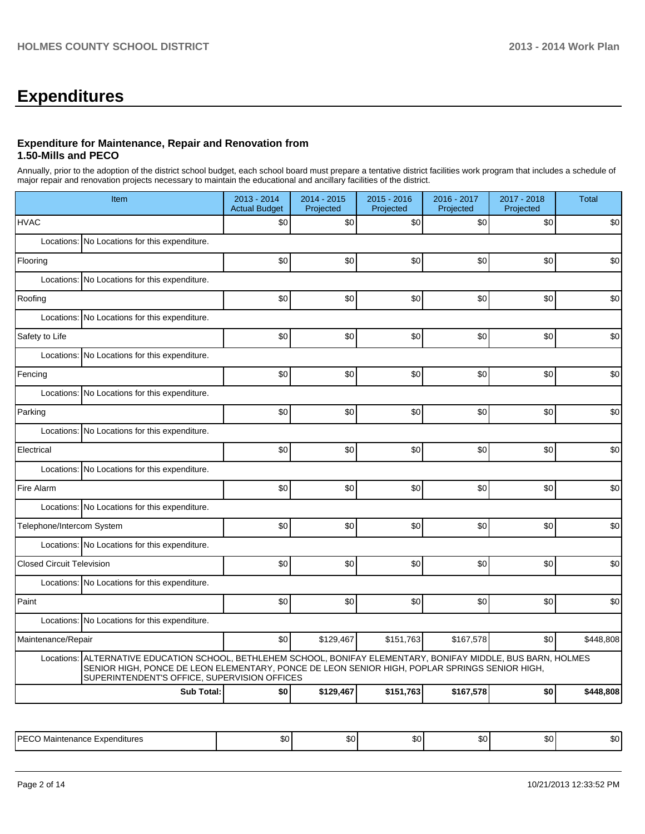## **Expenditures**

#### **Expenditure for Maintenance, Repair and Renovation from 1.50-Mills and PECO**

Annually, prior to the adoption of the district school budget, each school board must prepare a tentative district facilities work program that includes a schedule of major repair and renovation projects necessary to maintain the educational and ancillary facilities of the district.

| Item                                                                                                                                                                                                                                                                | 2013 - 2014<br><b>Actual Budget</b> | 2014 - 2015<br>Projected | 2015 - 2016<br>Projected | 2016 - 2017<br>Projected | 2017 - 2018<br>Projected | <b>Total</b> |  |  |  |  |
|---------------------------------------------------------------------------------------------------------------------------------------------------------------------------------------------------------------------------------------------------------------------|-------------------------------------|--------------------------|--------------------------|--------------------------|--------------------------|--------------|--|--|--|--|
| <b>HVAC</b>                                                                                                                                                                                                                                                         | \$0                                 | \$0                      | \$0                      | \$0                      | \$0                      | \$0          |  |  |  |  |
| Locations: No Locations for this expenditure.                                                                                                                                                                                                                       |                                     |                          |                          |                          |                          |              |  |  |  |  |
| Flooring                                                                                                                                                                                                                                                            | \$0                                 | \$0                      | \$0                      | \$0                      | \$0                      | \$0          |  |  |  |  |
| Locations: No Locations for this expenditure.                                                                                                                                                                                                                       |                                     |                          |                          |                          |                          |              |  |  |  |  |
| Roofing                                                                                                                                                                                                                                                             | \$0                                 | \$0                      | \$0                      | \$0                      | \$0                      | \$0          |  |  |  |  |
| Locations: No Locations for this expenditure.                                                                                                                                                                                                                       |                                     |                          |                          |                          |                          |              |  |  |  |  |
| Safety to Life                                                                                                                                                                                                                                                      | \$0                                 | \$0                      | \$0                      | \$0                      | \$0                      | \$0          |  |  |  |  |
| Locations:<br>No Locations for this expenditure.                                                                                                                                                                                                                    |                                     |                          |                          |                          |                          |              |  |  |  |  |
| Fencing                                                                                                                                                                                                                                                             | \$0                                 | \$0                      | \$0                      | \$0                      | \$0                      | \$0          |  |  |  |  |
| Locations: No Locations for this expenditure.                                                                                                                                                                                                                       |                                     |                          |                          |                          |                          |              |  |  |  |  |
| Parking                                                                                                                                                                                                                                                             | \$0                                 | \$0                      | \$0                      | \$0                      | \$0                      | \$0          |  |  |  |  |
| Locations: No Locations for this expenditure.                                                                                                                                                                                                                       |                                     |                          |                          |                          |                          |              |  |  |  |  |
| Electrical                                                                                                                                                                                                                                                          | \$0                                 | \$0                      | \$0                      | \$0                      | \$0                      | \$0          |  |  |  |  |
| Locations: No Locations for this expenditure.                                                                                                                                                                                                                       |                                     |                          |                          |                          |                          |              |  |  |  |  |
| Fire Alarm                                                                                                                                                                                                                                                          | \$0                                 | \$0                      | \$0                      | \$0                      | \$0                      | \$0          |  |  |  |  |
| Locations: No Locations for this expenditure.                                                                                                                                                                                                                       |                                     |                          |                          |                          |                          |              |  |  |  |  |
| Telephone/Intercom System                                                                                                                                                                                                                                           | \$0                                 | \$0                      | \$0                      | \$0                      | \$0                      | \$0          |  |  |  |  |
| Locations: No Locations for this expenditure.                                                                                                                                                                                                                       |                                     |                          |                          |                          |                          |              |  |  |  |  |
| <b>Closed Circuit Television</b>                                                                                                                                                                                                                                    | \$0                                 | \$0                      | \$0                      | \$0                      | \$0                      | \$0          |  |  |  |  |
| Locations: No Locations for this expenditure.                                                                                                                                                                                                                       |                                     |                          |                          |                          |                          |              |  |  |  |  |
| Paint                                                                                                                                                                                                                                                               | \$0                                 | \$0                      | \$0                      | \$0                      | \$0                      | \$0          |  |  |  |  |
| Locations: No Locations for this expenditure.                                                                                                                                                                                                                       |                                     |                          |                          |                          |                          |              |  |  |  |  |
| Maintenance/Repair                                                                                                                                                                                                                                                  | \$0                                 | \$129,467                | \$151,763                | \$167,578                | \$0                      | \$448,808    |  |  |  |  |
| ALTERNATIVE EDUCATION SCHOOL, BETHLEHEM SCHOOL, BONIFAY ELEMENTARY, BONIFAY MIDDLE, BUS BARN, HOLMES<br>Locations:<br>SENIOR HIGH, PONCE DE LEON ELEMENTARY, PONCE DE LEON SENIOR HIGH, POPLAR SPRINGS SENIOR HIGH,<br>SUPERINTENDENT'S OFFICE, SUPERVISION OFFICES |                                     |                          |                          |                          |                          |              |  |  |  |  |
| <b>Sub Total:</b>                                                                                                                                                                                                                                                   | \$0                                 | \$129,467                | \$151,763                | \$167,578                | \$0                      | \$448,808    |  |  |  |  |

|  | IPE<br>nditures?<br>$\cdots$<br>,,,<br><br>- ^ ~ | $\sim$<br>ູບບ | $\sim$<br>- JU | $\sim$<br>w | $\sim$<br>w | $\sim$<br>wu | m ^<br>w |
|--|--------------------------------------------------|---------------|----------------|-------------|-------------|--------------|----------|
|--|--------------------------------------------------|---------------|----------------|-------------|-------------|--------------|----------|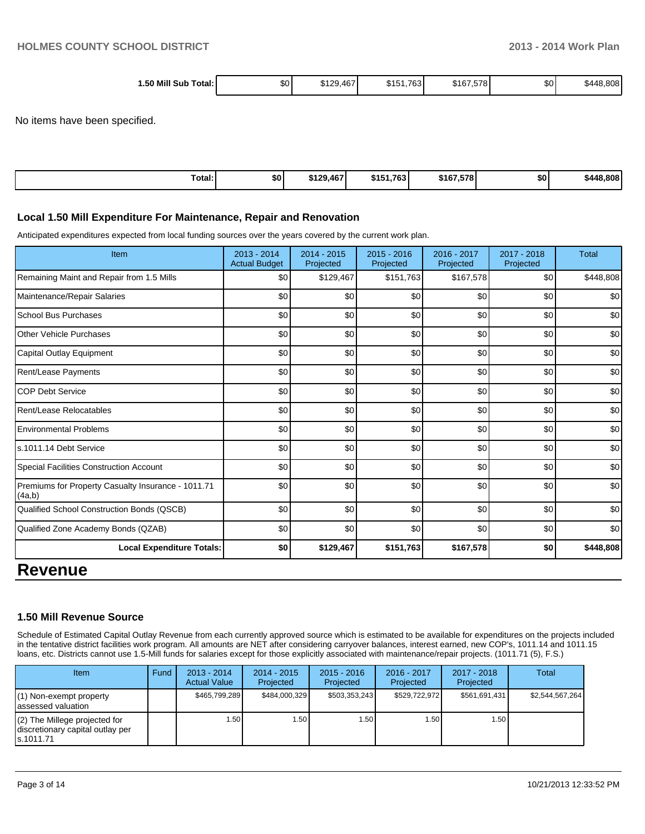| Total: I<br>$1.50$ Mill $S$<br>Sub | \$0' | 120<br>467<br>ب ب⊐ا 4ت<br>ו טז<br>___ | $\overline{A}$<br>.763<br>ມເມ | \$167,578 | <b>\$0</b> | 48.808<br>\$44۶. |
|------------------------------------|------|---------------------------------------|-------------------------------|-----------|------------|------------------|
|                                    |      |                                       |                               |           |            |                  |

No items have been specified.

| $\overline{\phantom{a}}$<br>Total: | \$0 | \$129.467 | \$151.763 | \$167.578 | \$0 | \$448.808 |
|------------------------------------|-----|-----------|-----------|-----------|-----|-----------|
|------------------------------------|-----|-----------|-----------|-----------|-----|-----------|

#### **Local 1.50 Mill Expenditure For Maintenance, Repair and Renovation**

Anticipated expenditures expected from local funding sources over the years covered by the current work plan.

| Item                                                         | $2013 - 2014$<br><b>Actual Budget</b> | $2014 - 2015$<br>Projected | $2015 - 2016$<br>Projected | 2016 - 2017<br>Projected | 2017 - 2018<br>Projected | <b>Total</b> |
|--------------------------------------------------------------|---------------------------------------|----------------------------|----------------------------|--------------------------|--------------------------|--------------|
| Remaining Maint and Repair from 1.5 Mills                    | \$0                                   | \$129,467                  | \$151,763                  | \$167,578                | \$0                      | \$448,808    |
| Maintenance/Repair Salaries                                  | \$0                                   | \$0                        | \$0                        | \$0                      | \$0                      | \$0          |
| <b>School Bus Purchases</b>                                  | \$0                                   | \$0                        | \$0                        | \$0                      | \$0                      | \$0          |
| <b>Other Vehicle Purchases</b>                               | \$0                                   | \$0                        | \$0                        | \$0                      | \$0                      | \$0          |
| Capital Outlay Equipment                                     | \$0                                   | \$0                        | \$0                        | \$0                      | \$0                      | \$0          |
| Rent/Lease Payments                                          | \$0                                   | \$0                        | \$0                        | \$0                      | \$0                      | \$0          |
| <b>COP Debt Service</b>                                      | \$0                                   | \$0                        | \$0                        | \$0                      | \$0                      | \$0          |
| Rent/Lease Relocatables                                      | \$0                                   | \$0                        | \$0                        | \$0                      | \$0                      | \$0          |
| <b>Environmental Problems</b>                                | \$0                                   | \$0                        | \$0                        | \$0                      | \$0                      | \$0          |
| ls.1011.14 Debt Service                                      | \$0                                   | \$0                        | \$0                        | \$0                      | \$0                      | \$0          |
| Special Facilities Construction Account                      | \$0                                   | \$0                        | \$0                        | \$0                      | \$0                      | \$0          |
| Premiums for Property Casualty Insurance - 1011.71<br>(4a,b) | \$0                                   | \$0                        | \$0                        | \$0                      | \$0                      | \$0          |
| Qualified School Construction Bonds (QSCB)                   | \$0                                   | \$0                        | \$0                        | \$0                      | \$0                      | \$0          |
| Qualified Zone Academy Bonds (QZAB)                          | \$0                                   | \$0                        | \$0                        | \$0                      | \$0                      | \$0          |
| <b>Local Expenditure Totals:</b>                             | \$0                                   | \$129,467                  | \$151,763                  | \$167,578                | \$0                      | \$448,808    |
| Ravanua                                                      |                                       |                            |                            |                          |                          |              |

## **Revenue**

#### **1.50 Mill Revenue Source**

Schedule of Estimated Capital Outlay Revenue from each currently approved source which is estimated to be available for expenditures on the projects included in the tentative district facilities work program. All amounts are NET after considering carryover balances, interest earned, new COP's, 1011.14 and 1011.15 loans, etc. Districts cannot use 1.5-Mill funds for salaries except for those explicitly associated with maintenance/repair projects. (1011.71 (5), F.S.)

| <b>Item</b>                                                                       | Fund | $2013 - 2014$<br><b>Actual Value</b> | $2014 - 2015$<br>Projected | $2015 - 2016$<br>Projected | $2016 - 2017$<br>Projected | $2017 - 2018$<br>Projected | Total           |
|-----------------------------------------------------------------------------------|------|--------------------------------------|----------------------------|----------------------------|----------------------------|----------------------------|-----------------|
| $(1)$ Non-exempt property<br>lassessed valuation                                  |      | \$465,799,289                        | \$484.000.329              | \$503,353,243              | \$529.722.972              | \$561,691,431              | \$2.544.567.264 |
| $(2)$ The Millege projected for<br>discretionary capital outlay per<br>ls.1011.71 |      | 1.50                                 | 1.50 I                     | l .50 l                    | ا 50.،                     | 1.50 l                     |                 |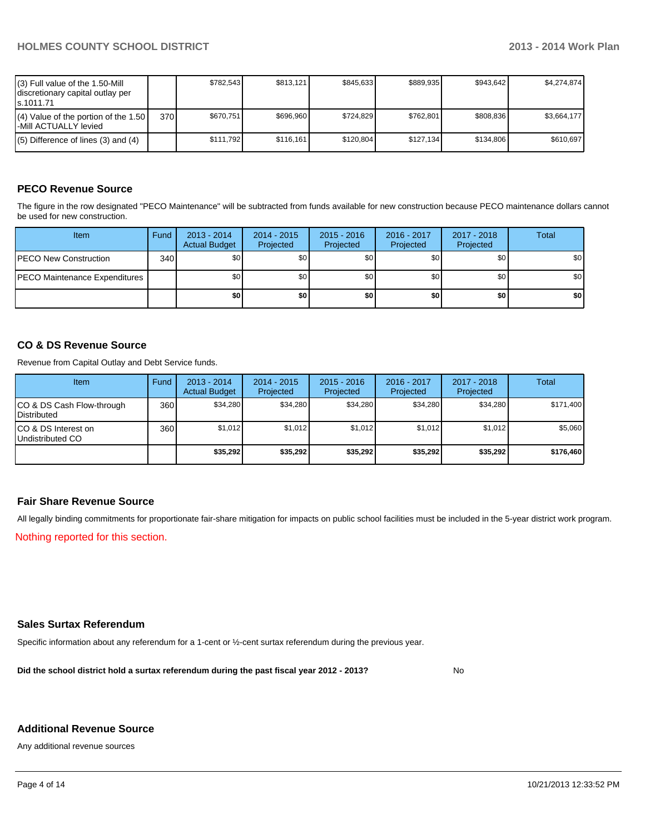| $(3)$ Full value of the 1.50-Mill<br>discretionary capital outlay per<br>ls.1011.71 |     | \$782.543 | \$813.121 | \$845.633 | \$889.935 | \$943.642 | \$4.274.874 |
|-------------------------------------------------------------------------------------|-----|-----------|-----------|-----------|-----------|-----------|-------------|
| $(4)$ Value of the portion of the 1.50<br>I-Mill ACTUALLY levied                    | 370 | \$670.751 | \$696.960 | \$724.829 | \$762.801 | \$808.836 | \$3.664.177 |
| $(5)$ Difference of lines $(3)$ and $(4)$                                           |     | \$111.792 | \$116.161 | \$120.804 | \$127.134 | \$134.806 | \$610.697   |

#### **PECO Revenue Source**

The figure in the row designated "PECO Maintenance" will be subtracted from funds available for new construction because PECO maintenance dollars cannot be used for new construction.

| <b>Item</b>                          | Fund | $2013 - 2014$<br><b>Actual Budget</b> | $2014 - 2015$<br>Projected | $2015 - 2016$<br>Projected | $2016 - 2017$<br>Projected | 2017 - 2018<br>Projected | <b>Total</b> |
|--------------------------------------|------|---------------------------------------|----------------------------|----------------------------|----------------------------|--------------------------|--------------|
| <b>PECO New Construction</b>         | 340  | \$0                                   | \$0                        | \$0                        | \$OI                       | \$0                      | \$0          |
| <b>PECO Maintenance Expenditures</b> |      | \$0                                   | \$0                        | \$0                        | \$OI                       | \$0 I                    | \$0          |
|                                      |      | \$0                                   | \$O                        | \$0 <sub>1</sub>           | ا 30                       | \$0                      | \$0          |

#### **CO & DS Revenue Source**

Revenue from Capital Outlay and Debt Service funds.

| <b>Item</b>                                        | Fund             | $2013 - 2014$<br><b>Actual Budget</b> | $2014 - 2015$<br>Projected | $2015 - 2016$<br>Projected | $2016 - 2017$<br>Projected | $2017 - 2018$<br>Projected | Total     |
|----------------------------------------------------|------------------|---------------------------------------|----------------------------|----------------------------|----------------------------|----------------------------|-----------|
| ICO & DS Cash Flow-through<br><b>I</b> Distributed | 360 <sup>I</sup> | \$34,280                              | \$34,280                   | \$34,280                   | \$34.280                   | \$34,280                   | \$171,400 |
| ICO & DS Interest on<br>Undistributed CO           | 360              | \$1,012                               | \$1,012                    | \$1,012                    | \$1,012                    | \$1,012                    | \$5,060   |
|                                                    |                  | \$35,292                              | \$35.292                   | \$35,292                   | \$35,292                   | \$35.292                   | \$176,460 |

#### **Fair Share Revenue Source**

All legally binding commitments for proportionate fair-share mitigation for impacts on public school facilities must be included in the 5-year district work program.

Nothing reported for this section.

#### **Sales Surtax Referendum**

Specific information about any referendum for a 1-cent or ½-cent surtax referendum during the previous year.

**Did the school district hold a surtax referendum during the past fiscal year 2012 - 2013?**

No

#### **Additional Revenue Source**

Any additional revenue sources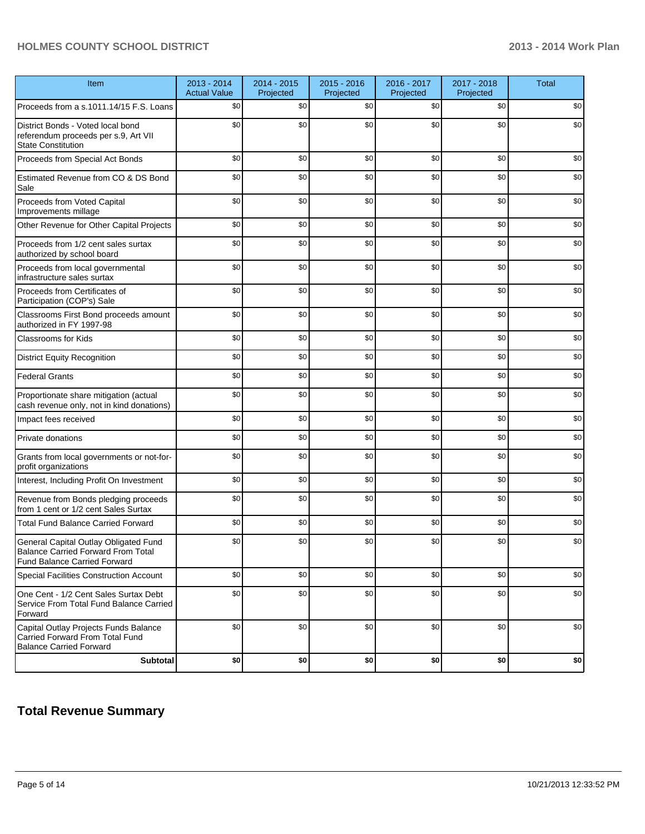#### **HOLMES COUNTY SCHOOL DISTRICT 2013 - 2014 Work Plan**

| Item                                                                                                                      | 2013 - 2014<br><b>Actual Value</b> | 2014 - 2015<br>Projected | 2015 - 2016<br>Projected | 2016 - 2017<br>Projected | 2017 - 2018<br>Projected | <b>Total</b> |
|---------------------------------------------------------------------------------------------------------------------------|------------------------------------|--------------------------|--------------------------|--------------------------|--------------------------|--------------|
| Proceeds from a s.1011.14/15 F.S. Loans                                                                                   | \$0                                | \$0                      | \$0                      | \$0                      | \$0                      | \$0          |
| District Bonds - Voted local bond<br>referendum proceeds per s.9, Art VII<br><b>State Constitution</b>                    | \$0                                | \$0                      | \$0                      | \$0                      | \$0                      | \$0          |
| Proceeds from Special Act Bonds                                                                                           | \$0                                | \$0                      | \$0                      | \$0                      | \$0                      | \$0          |
| Estimated Revenue from CO & DS Bond<br>Sale                                                                               | \$0                                | \$0                      | \$0                      | \$0                      | \$0                      | \$0          |
| Proceeds from Voted Capital<br>Improvements millage                                                                       | \$0                                | \$0                      | \$0                      | \$0                      | \$0                      | \$0          |
| Other Revenue for Other Capital Projects                                                                                  | \$0                                | \$0                      | \$0                      | \$0                      | \$0                      | \$0          |
| Proceeds from 1/2 cent sales surtax<br>authorized by school board                                                         | \$0                                | \$0                      | \$0                      | \$0                      | \$0                      | \$0          |
| Proceeds from local governmental<br>infrastructure sales surtax                                                           | \$0                                | \$0                      | \$0                      | \$0                      | \$0                      | \$0          |
| Proceeds from Certificates of<br>Participation (COP's) Sale                                                               | \$0                                | \$0                      | \$0                      | \$0                      | \$0                      | \$0          |
| Classrooms First Bond proceeds amount<br>authorized in FY 1997-98                                                         | \$0                                | \$0                      | \$0                      | \$0                      | \$0                      | \$0          |
| <b>Classrooms for Kids</b>                                                                                                | \$0                                | \$0                      | \$0                      | \$0                      | \$0                      | \$0          |
| <b>District Equity Recognition</b>                                                                                        | \$0                                | \$0                      | \$0                      | \$0                      | \$0                      | \$0          |
| <b>Federal Grants</b>                                                                                                     | \$0                                | \$0                      | \$0                      | \$0                      | \$0                      | \$0          |
| Proportionate share mitigation (actual<br>cash revenue only, not in kind donations)                                       | \$0                                | \$0                      | \$0                      | \$0                      | \$0                      | \$0          |
| Impact fees received                                                                                                      | \$0                                | \$0                      | \$0                      | \$0                      | \$0                      | \$0          |
| Private donations                                                                                                         | \$0                                | \$0                      | \$0                      | \$0                      | \$0                      | \$0          |
| Grants from local governments or not-for-<br>profit organizations                                                         | \$0                                | \$0                      | \$0                      | \$0                      | \$0                      | \$0          |
| Interest, Including Profit On Investment                                                                                  | \$0                                | \$0                      | \$0                      | \$0                      | \$0                      | \$0          |
| Revenue from Bonds pledging proceeds<br>from 1 cent or 1/2 cent Sales Surtax                                              | \$0                                | \$0                      | \$0                      | \$0                      | \$0                      | \$0          |
| <b>Total Fund Balance Carried Forward</b>                                                                                 | \$0                                | \$0                      | \$0                      | \$0                      | \$0                      | \$0          |
| General Capital Outlay Obligated Fund<br><b>Balance Carried Forward From Total</b><br><b>Fund Balance Carried Forward</b> | \$0                                | \$0                      | \$0                      | \$0                      | \$0                      | \$0          |
| Special Facilities Construction Account                                                                                   | \$0                                | \$0                      | \$0                      | \$0                      | \$0                      | \$0          |
| One Cent - 1/2 Cent Sales Surtax Debt<br>Service From Total Fund Balance Carried<br>Forward                               | \$0                                | \$0                      | \$0                      | \$0                      | \$0                      | \$0          |
| Capital Outlay Projects Funds Balance<br>Carried Forward From Total Fund<br><b>Balance Carried Forward</b>                | \$0                                | \$0                      | \$0                      | \$0                      | \$0                      | \$0          |
| <b>Subtotal</b>                                                                                                           | \$0                                | \$0                      | \$0                      | \$0                      | \$0                      | $$0\,$       |

## **Total Revenue Summary**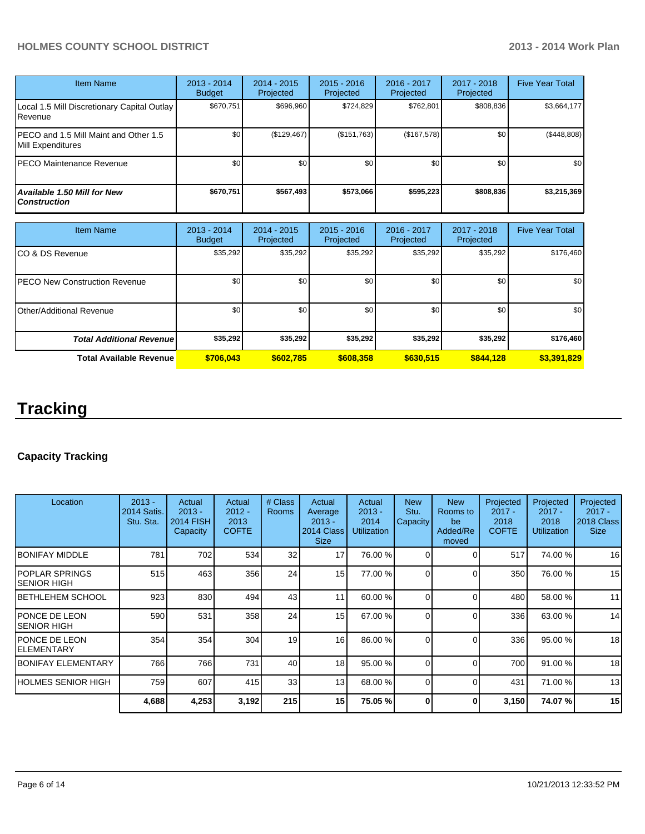#### **HOLMES COUNTY SCHOOL DISTRICT 2013 - 2014 Work Plan**

| <b>Item Name</b>                                           | 2013 - 2014<br><b>Budget</b> | $2014 - 2015$<br>Projected | $2015 - 2016$<br><b>Projected</b> | $2016 - 2017$<br>Projected | $2017 - 2018$<br>Projected | <b>Five Year Total</b> |
|------------------------------------------------------------|------------------------------|----------------------------|-----------------------------------|----------------------------|----------------------------|------------------------|
| Local 1.5 Mill Discretionary Capital Outlay<br>Revenue     | \$670,751                    | \$696,960                  | \$724,829                         | \$762,801                  | \$808,836                  | \$3,664,177            |
| PECO and 1.5 Mill Maint and Other 1.5<br>Mill Expenditures | \$0                          | (\$129,467)                | (\$151,763)                       | (\$167,578)                | \$0                        | (\$448,808)            |
| PECO Maintenance Revenue                                   | \$0                          | \$0                        | \$0                               | \$0                        | \$0                        | \$0                    |
| Available 1.50 Mill for New<br><b>Construction</b>         | \$670,751                    | \$567,493                  | \$573.066                         | \$595,223                  | \$808,836                  | \$3,215,369            |

| <b>Item Name</b>                      | 2013 - 2014<br><b>Budget</b> | $2014 - 2015$<br>Projected | $2015 - 2016$<br>Projected | 2016 - 2017<br>Projected | $2017 - 2018$<br>Projected | <b>Five Year Total</b> |
|---------------------------------------|------------------------------|----------------------------|----------------------------|--------------------------|----------------------------|------------------------|
| ICO & DS Revenue                      | \$35,292                     | \$35,292                   | \$35,292                   | \$35,292                 | \$35,292                   | \$176,460              |
| <b>IPECO New Construction Revenue</b> | \$0                          | \$0                        | \$0                        | \$0                      | \$0                        | \$0 <sub>1</sub>       |
| IOther/Additional Revenue             | \$0                          | \$0                        | \$0                        | \$0                      | \$0 <sub>1</sub>           | \$0 <sub>1</sub>       |
| <b>Total Additional Revenuel</b>      | \$35,292                     | \$35,292                   | \$35,292                   | \$35,292                 | \$35,292                   | \$176,460              |
| <b>Total Available Revenue</b>        | \$706.043                    | \$602.785                  | \$608,358                  | \$630.515                | \$844,128                  | \$3,391,829            |

# **Tracking**

### **Capacity Tracking**

| Location                        | $2013 -$<br>2014 Satis.<br>Stu. Sta. | Actual<br>$2013 -$<br><b>2014 FISH</b><br>Capacity | Actual<br>$2012 -$<br>2013<br><b>COFTE</b> | # Class<br><b>Rooms</b> | Actual<br>Average<br>$2013 -$<br>2014 Class<br><b>Size</b> | Actual<br>$2013 -$<br>2014<br><b>Utilization</b> | <b>New</b><br>Stu.<br>Capacity | <b>New</b><br>Rooms to<br>be<br>Added/Re<br>moved | Projected<br>$2017 -$<br>2018<br><b>COFTE</b> | Projected<br>$2017 -$<br>2018<br><b>Utilization</b> | Projected<br>$2017 -$<br>2018 Class<br><b>Size</b> |
|---------------------------------|--------------------------------------|----------------------------------------------------|--------------------------------------------|-------------------------|------------------------------------------------------------|--------------------------------------------------|--------------------------------|---------------------------------------------------|-----------------------------------------------|-----------------------------------------------------|----------------------------------------------------|
| IBONIFAY MIDDLE                 | 781                                  | 702                                                | 534                                        | 32                      | 17                                                         | 76.00 %                                          | $\Omega$                       | ∩                                                 | 517                                           | 74.00%                                              | 16                                                 |
| IPOPLAR SPRINGS<br>ISENIOR HIGH | 515                                  | 463                                                | 356                                        | 24                      | 15 <sup>1</sup>                                            | 77.00 %                                          | $\Omega$                       | $\Omega$                                          | 350                                           | 76.00 %                                             | 15                                                 |
| IBETHLEHEM SCHOOL               | 923                                  | 830                                                | 494                                        | 43                      | 11                                                         | 60.00 %                                          | $\Omega$                       | $\Omega$                                          | 480                                           | 58.00 %                                             | 11                                                 |
| IPONCE DE LEON<br>ISENIOR HIGH  | 590                                  | 531                                                | 358                                        | 24                      | 15 <sup>1</sup>                                            | 67.00 %                                          | $\Omega$                       | $\Omega$                                          | 336                                           | 63.00 %                                             | 14                                                 |
| IPONCE DE LEON<br>IELEMENTARY   | 354                                  | 354                                                | 304                                        | 19                      | 16                                                         | 86.00 %                                          | $\Omega$                       | ∩                                                 | 336                                           | 95.00 %                                             | 18                                                 |
| <b>IBONIFAY ELEMENTARY</b>      | 766                                  | 766                                                | 731                                        | 40                      | 18                                                         | 95.00 %                                          | ∩                              | $\Omega$                                          | 700                                           | 91.00 %                                             | 18                                                 |
| IHOLMES SENIOR HIGH             | 759                                  | 607                                                | 415                                        | 33                      | 13                                                         | 68.00 %                                          | $\Omega$                       | $\Omega$                                          | 431                                           | 71.00 %                                             | 13                                                 |
|                                 | 4,688                                | 4,253                                              | 3,192                                      | 215                     | 15 <sup>1</sup>                                            | 75.05 %                                          | ŋ                              | ŋ                                                 | 3,150                                         | 74.07%                                              | 15                                                 |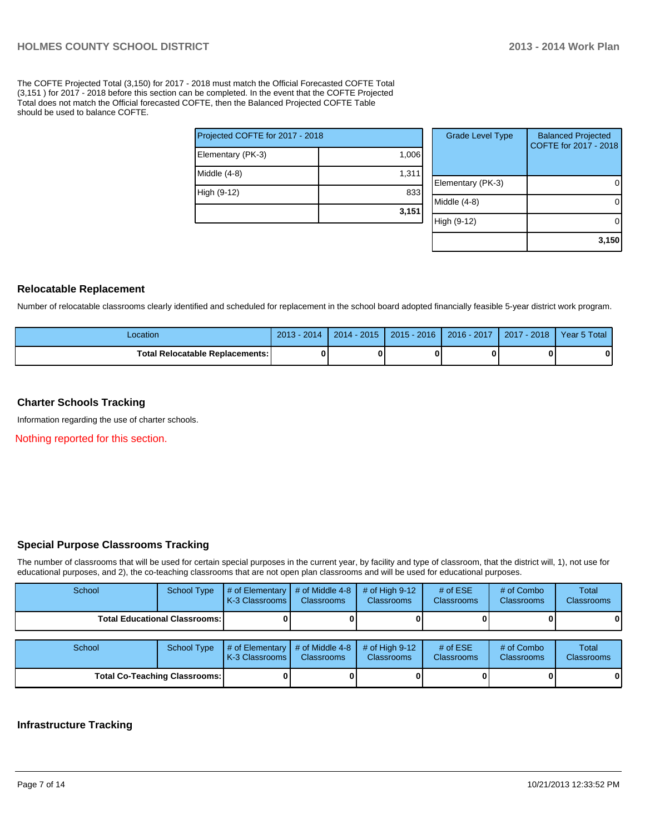The COFTE Projected Total (3,150) for 2017 - 2018 must match the Official Forecasted COFTE Total (3,151 ) for 2017 - 2018 before this section can be completed. In the event that the COFTE Projected Total does not match the Official forecasted COFTE, then the Balanced Projected COFTE Table should be used to balance COFTE.

| Projected COFTE for 2017 - 2018 |  |  |  |  |  |
|---------------------------------|--|--|--|--|--|
| 1,006                           |  |  |  |  |  |
| 1,311                           |  |  |  |  |  |
| 833                             |  |  |  |  |  |
| 3,151                           |  |  |  |  |  |
|                                 |  |  |  |  |  |

| <b>Grade Level Type</b> | <b>Balanced Projected</b><br>COFTE for 2017 - 2018 |
|-------------------------|----------------------------------------------------|
| Elementary (PK-3)       |                                                    |
| Middle (4-8)            |                                                    |
| High (9-12)             |                                                    |
|                         | 3,150                                              |

#### **Relocatable Replacement**

Number of relocatable classrooms clearly identified and scheduled for replacement in the school board adopted financially feasible 5-year district work program.

| Location                               | $2013 - 2014$ | 2014 - 2015 | $2015 - 2016$ | $2016 - 2017$ | 2017 - 2018 | Year 5 Total |
|----------------------------------------|---------------|-------------|---------------|---------------|-------------|--------------|
| <b>Total Relocatable Replacements:</b> |               |             |               |               |             |              |

#### **Charter Schools Tracking**

Information regarding the use of charter schools.

Nothing reported for this section.

#### **Special Purpose Classrooms Tracking**

The number of classrooms that will be used for certain special purposes in the current year, by facility and type of classroom, that the district will, 1), not use for educational purposes, and 2), the co-teaching classrooms that are not open plan classrooms and will be used for educational purposes.

| School                               | <b>School Type</b>                     | $\#$ of Elementary<br>K-3 Classrooms | # of Middle 4-8<br><b>Classrooms</b> | # of High $9-12$<br><b>Classrooms</b> | # of $ESE$<br><b>Classrooms</b> | # of Combo<br><b>Classrooms</b> | Total<br><b>Classrooms</b> |
|--------------------------------------|----------------------------------------|--------------------------------------|--------------------------------------|---------------------------------------|---------------------------------|---------------------------------|----------------------------|
|                                      | <b>Total Educational Classrooms: I</b> |                                      |                                      |                                       |                                 |                                 | 01                         |
| School                               | <b>School Type</b>                     | # of Elementary<br>K-3 Classrooms    | # of Middle 4-8<br><b>Classrooms</b> | # of High $9-12$<br><b>Classrooms</b> | # of $ESE$<br><b>Classrooms</b> | # of Combo<br>Classrooms        | Total<br>Classrooms        |
| <b>Total Co-Teaching Classrooms:</b> |                                        |                                      |                                      |                                       |                                 |                                 | 0                          |

#### **Infrastructure Tracking**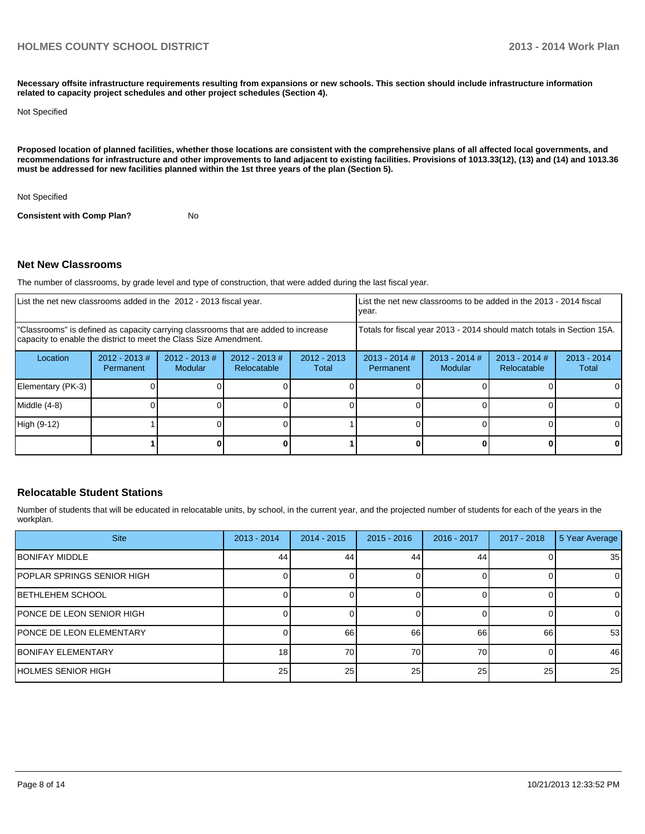**Necessary offsite infrastructure requirements resulting from expansions or new schools. This section should include infrastructure information related to capacity project schedules and other project schedules (Section 4).**

Not Specified

**Proposed location of planned facilities, whether those locations are consistent with the comprehensive plans of all affected local governments, and recommendations for infrastructure and other improvements to land adjacent to existing facilities. Provisions of 1013.33(12), (13) and (14) and 1013.36 must be addressed for new facilities planned within the 1st three years of the plan (Section 5).**

Not Specified

**Consistent with Comp Plan?** No

#### **Net New Classrooms**

The number of classrooms, by grade level and type of construction, that were added during the last fiscal year.

| List the net new classrooms added in the 2012 - 2013 fiscal year. |                                                                                                                                                         |                            |                                | List the net new classrooms to be added in the 2013 - 2014 fiscal<br>year. |                                                                        |                            |                                       |                        |
|-------------------------------------------------------------------|---------------------------------------------------------------------------------------------------------------------------------------------------------|----------------------------|--------------------------------|----------------------------------------------------------------------------|------------------------------------------------------------------------|----------------------------|---------------------------------------|------------------------|
|                                                                   | "Classrooms" is defined as capacity carrying classrooms that are added to increase<br>capacity to enable the district to meet the Class Size Amendment. |                            |                                |                                                                            | Totals for fiscal year 2013 - 2014 should match totals in Section 15A. |                            |                                       |                        |
| Location                                                          | $2012 - 2013 \#$<br><b>Permanent</b>                                                                                                                    | $2012 - 2013$ #<br>Modular | $2012 - 2013$ #<br>Relocatable | $2012 - 2013$<br>Total                                                     | $2013 - 2014$ #<br>Permanent                                           | $2013 - 2014$ #<br>Modular | $2013 - 2014$ #<br><b>Relocatable</b> | $2013 - 2014$<br>Total |
| Elementary (PK-3)                                                 |                                                                                                                                                         |                            |                                |                                                                            |                                                                        |                            |                                       |                        |
| Middle (4-8)                                                      |                                                                                                                                                         |                            |                                |                                                                            |                                                                        |                            |                                       |                        |
| High (9-12)                                                       |                                                                                                                                                         |                            |                                |                                                                            |                                                                        |                            |                                       |                        |
|                                                                   |                                                                                                                                                         |                            |                                |                                                                            |                                                                        |                            |                                       | 0                      |

#### **Relocatable Student Stations**

Number of students that will be educated in relocatable units, by school, in the current year, and the projected number of students for each of the years in the workplan.

| <b>Site</b>                       | $2013 - 2014$   | $2014 - 2015$ | $2015 - 2016$ | 2016 - 2017     | $2017 - 2018$ | 5 Year Average |
|-----------------------------------|-----------------|---------------|---------------|-----------------|---------------|----------------|
| <b>IBONIFAY MIDDLE</b>            | 44              | 44            | 44            | 44              |               | 35             |
| <b>POPLAR SPRINGS SENIOR HIGH</b> |                 |               |               |                 |               | $\overline{0}$ |
| <b>IBETHLEHEM SCHOOL</b>          |                 |               |               |                 |               | $\overline{0}$ |
| <b>PONCE DE LEON SENIOR HIGH</b>  |                 |               |               |                 |               | $\Omega$       |
| <b>PONCE DE LEON ELEMENTARY</b>   |                 | 66            | 66            | 66              | 66            | 53             |
| <b>IBONIFAY ELEMENTARY</b>        | 18 <sup>1</sup> | 70            | 70            | 70              |               | 46             |
| <b>HOLMES SENIOR HIGH</b>         | 25              | 25            | 25            | 25 <sub>1</sub> | 25            | 25             |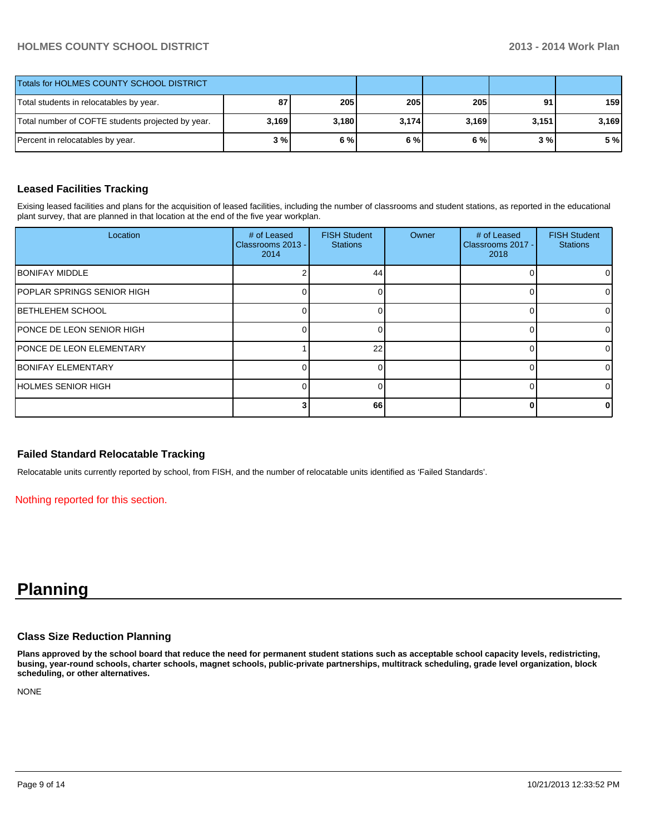#### **HOLMES COUNTY SCHOOL DISTRICT 2013 - 2014 Work Plan**

| Totals for HOLMES COUNTY SCHOOL DISTRICT          |       |       |       |       |       |       |
|---------------------------------------------------|-------|-------|-------|-------|-------|-------|
| Total students in relocatables by year.           | 87    | 205   | 205   | 205   | 91    | 159   |
| Total number of COFTE students projected by year. | 3,169 | 3.180 | 3,174 | 3,169 | 3,151 | 3,169 |
| Percent in relocatables by year.                  | 3%    | 6%    | 6%    | 6 % l | 3 % I | 5 %   |

#### **Leased Facilities Tracking**

Exising leased facilities and plans for the acquisition of leased facilities, including the number of classrooms and student stations, as reported in the educational plant survey, that are planned in that location at the end of the five year workplan.

| Location                          | # of Leased<br>Classrooms 2013 -<br>2014 | <b>FISH Student</b><br><b>Stations</b> | Owner | # of Leased<br>Classrooms 2017 -<br>2018 | <b>FISH Student</b><br><b>Stations</b> |
|-----------------------------------|------------------------------------------|----------------------------------------|-------|------------------------------------------|----------------------------------------|
| <b>BONIFAY MIDDLE</b>             |                                          | 44                                     |       |                                          | 01                                     |
| <b>POPLAR SPRINGS SENIOR HIGH</b> |                                          |                                        |       |                                          | $\overline{0}$                         |
| <b>BETHLEHEM SCHOOL</b>           |                                          |                                        |       |                                          | $\Omega$                               |
| <b>IPONCE DE LEON SENIOR HIGH</b> |                                          |                                        |       |                                          | ΟI                                     |
| <b>PONCE DE LEON ELEMENTARY</b>   |                                          | 22                                     |       |                                          | 01                                     |
| <b>IBONIFAY ELEMENTARY</b>        |                                          |                                        |       |                                          | 01                                     |
| <b>HOLMES SENIOR HIGH</b>         |                                          |                                        |       |                                          | $\Omega$                               |
|                                   |                                          | 66                                     |       |                                          | 01                                     |

#### **Failed Standard Relocatable Tracking**

Relocatable units currently reported by school, from FISH, and the number of relocatable units identified as 'Failed Standards'.

Nothing reported for this section.

## **Planning**

#### **Class Size Reduction Planning**

**Plans approved by the school board that reduce the need for permanent student stations such as acceptable school capacity levels, redistricting, busing, year-round schools, charter schools, magnet schools, public-private partnerships, multitrack scheduling, grade level organization, block scheduling, or other alternatives.**

NONE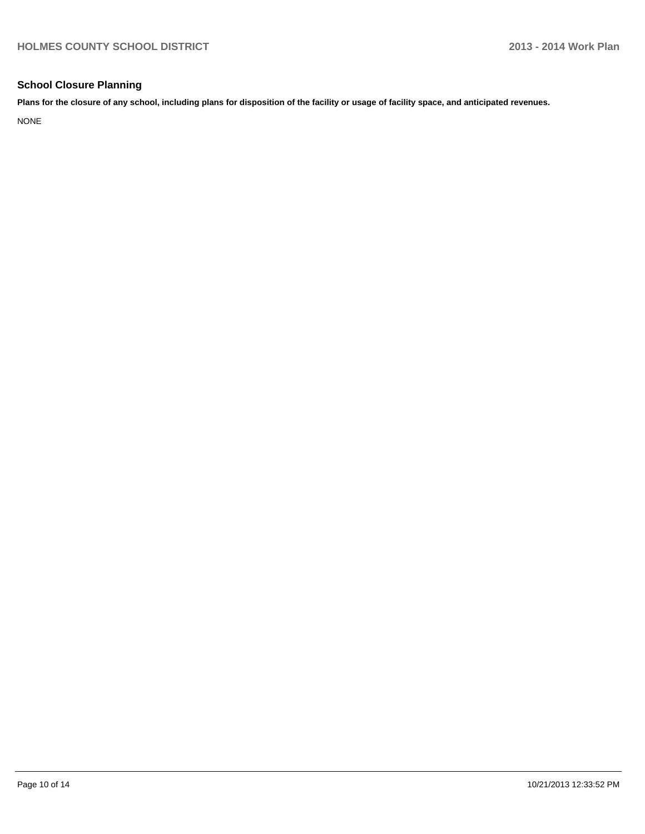#### **School Closure Planning**

**Plans for the closure of any school, including plans for disposition of the facility or usage of facility space, and anticipated revenues.**

NONE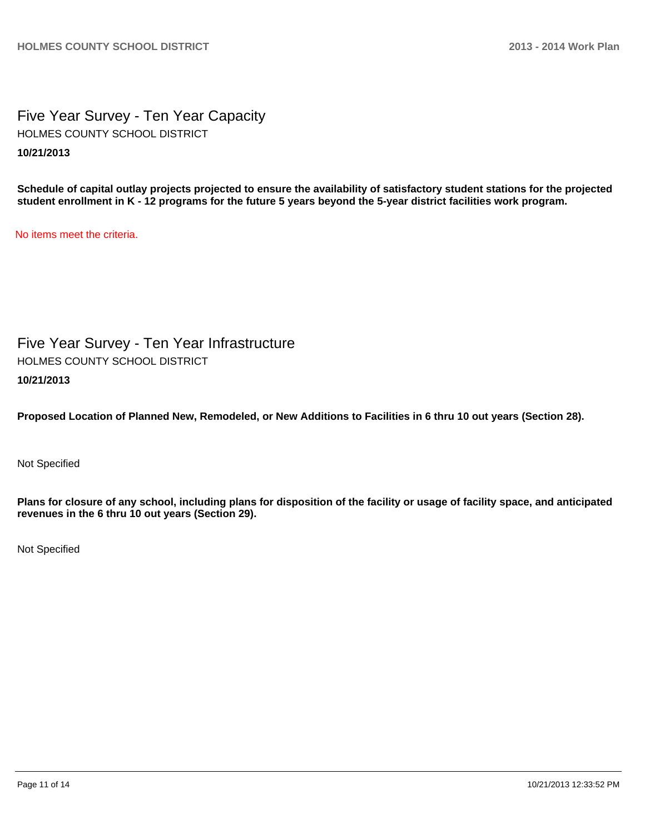Five Year Survey - Ten Year Capacity **10/21/2013** HOLMES COUNTY SCHOOL DISTRICT

**Schedule of capital outlay projects projected to ensure the availability of satisfactory student stations for the projected student enrollment in K - 12 programs for the future 5 years beyond the 5-year district facilities work program.**

No items meet the criteria.

Five Year Survey - Ten Year Infrastructure **10/21/2013** HOLMES COUNTY SCHOOL DISTRICT

**Proposed Location of Planned New, Remodeled, or New Additions to Facilities in 6 thru 10 out years (Section 28).**

Not Specified

**Plans for closure of any school, including plans for disposition of the facility or usage of facility space, and anticipated revenues in the 6 thru 10 out years (Section 29).**

Not Specified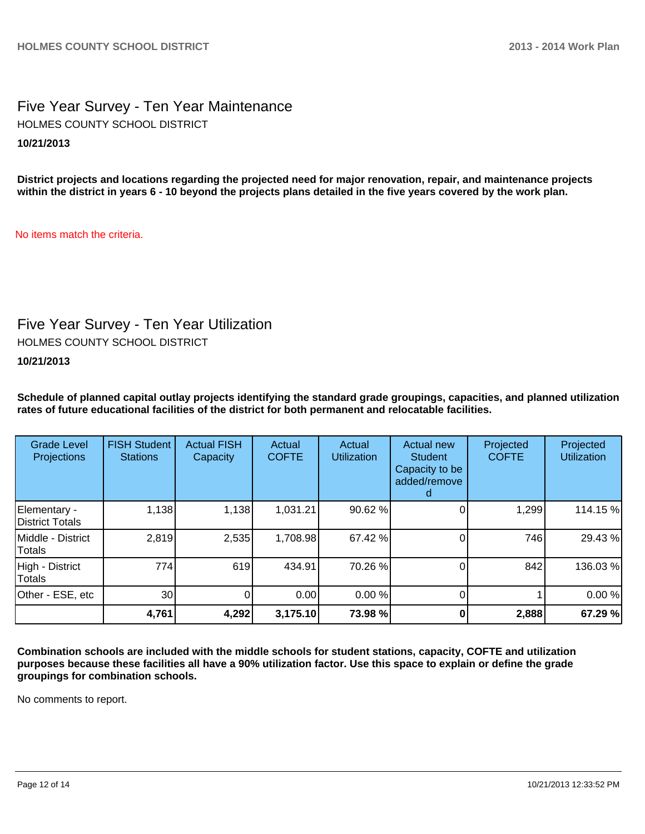### Five Year Survey - Ten Year Maintenance **10/21/2013** HOLMES COUNTY SCHOOL DISTRICT

**District projects and locations regarding the projected need for major renovation, repair, and maintenance projects within the district in years 6 - 10 beyond the projects plans detailed in the five years covered by the work plan.**

No items match the criteria.

## Five Year Survey - Ten Year Utilization

HOLMES COUNTY SCHOOL DISTRICT

**10/21/2013**

**Schedule of planned capital outlay projects identifying the standard grade groupings, capacities, and planned utilization rates of future educational facilities of the district for both permanent and relocatable facilities.**

| <b>Grade Level</b><br>Projections | <b>FISH Student</b><br><b>Stations</b> | <b>Actual FISH</b><br>Capacity | Actual<br><b>COFTE</b> | Actual<br><b>Utilization</b> | Actual new<br><b>Student</b><br>Capacity to be<br>added/remove<br>d | Projected<br><b>COFTE</b> | Projected<br><b>Utilization</b> |
|-----------------------------------|----------------------------------------|--------------------------------|------------------------|------------------------------|---------------------------------------------------------------------|---------------------------|---------------------------------|
| Elementary -<br>District Totals   | 1,138                                  | 1,138                          | 1,031.21               | 90.62 %                      |                                                                     | 1,299                     | 114.15 %                        |
| Middle - District<br>Totals       | 2,819                                  | 2,535                          | 1,708.98               | 67.42 %                      |                                                                     | 746                       | 29.43%                          |
| High - District<br><b>Totals</b>  | 774                                    | 619                            | 434.91                 | 70.26 %                      |                                                                     | 842                       | 136.03%                         |
| Other - ESE, etc                  | 30 <sup>1</sup>                        | 0                              | 0.00                   | 0.00%                        | 0                                                                   |                           | 0.00%                           |
|                                   | 4,761                                  | 4,292                          | 3,175.10               | 73.98 %                      |                                                                     | 2,888                     | 67.29 %                         |

**Combination schools are included with the middle schools for student stations, capacity, COFTE and utilization purposes because these facilities all have a 90% utilization factor. Use this space to explain or define the grade groupings for combination schools.**

No comments to report.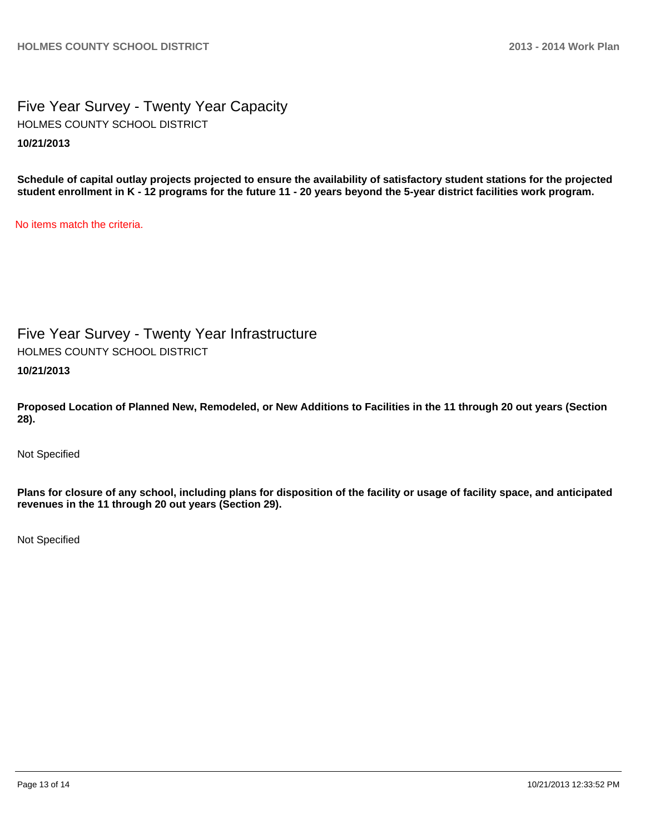Five Year Survey - Twenty Year Capacity **10/21/2013** HOLMES COUNTY SCHOOL DISTRICT

**Schedule of capital outlay projects projected to ensure the availability of satisfactory student stations for the projected student enrollment in K - 12 programs for the future 11 - 20 years beyond the 5-year district facilities work program.**

No items match the criteria.

Five Year Survey - Twenty Year Infrastructure HOLMES COUNTY SCHOOL DISTRICT

**10/21/2013**

**Proposed Location of Planned New, Remodeled, or New Additions to Facilities in the 11 through 20 out years (Section 28).**

Not Specified

**Plans for closure of any school, including plans for disposition of the facility or usage of facility space, and anticipated revenues in the 11 through 20 out years (Section 29).**

Not Specified